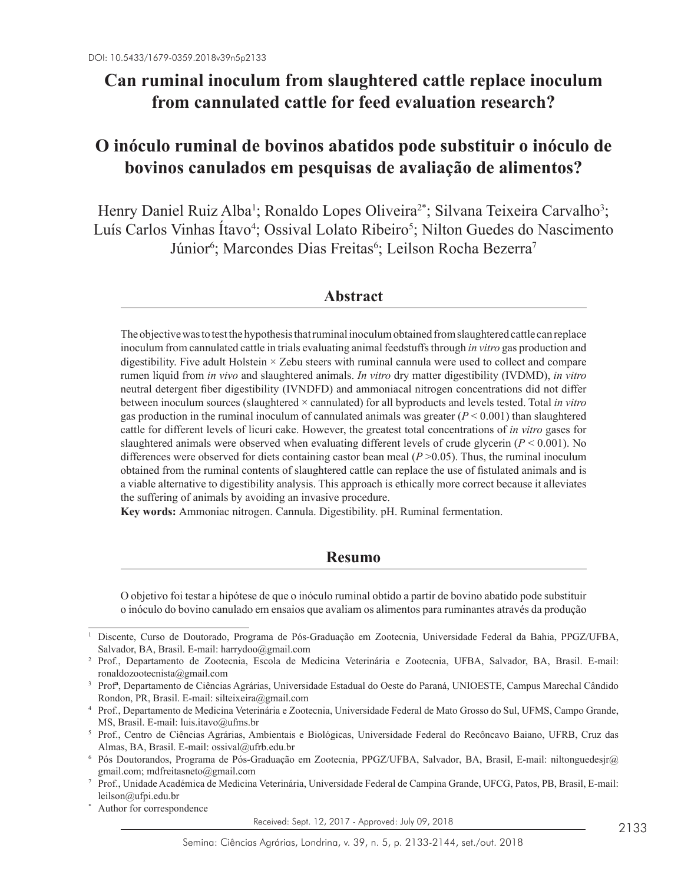# **Can ruminal inoculum from slaughtered cattle replace inoculum from cannulated cattle for feed evaluation research?**

# **O inóculo ruminal de bovinos abatidos pode substituir o inóculo de bovinos canulados em pesquisas de avaliação de alimentos?**

Henry Daniel Ruiz Alba<sup>1</sup>; Ronaldo Lopes Oliveira<sup>2\*</sup>; Silvana Teixeira Carvalho<sup>3</sup>; Luís Carlos Vinhas Itavo<sup>4</sup>; Ossival Lolato Ribeiro<sup>5</sup>; Nilton Guedes do Nascimento Júnior<sup>6</sup>; Marcondes Dias Freitas<sup>6</sup>; Leilson Rocha Bezerra<sup>7</sup>

# **Abstract**

The objective was to test the hypothesis that ruminal inoculum obtained from slaughtered cattle can replace inoculum from cannulated cattle in trials evaluating animal feedstuffs through *in vitro* gas production and digestibility. Five adult Holstein  $\times$  Zebu steers with ruminal cannula were used to collect and compare rumen liquid from *in vivo* and slaughtered animals. *In vitro* dry matter digestibility (IVDMD), *in vitro* neutral detergent fiber digestibility (IVNDFD) and ammoniacal nitrogen concentrations did not differ between inoculum sources (slaughtered × cannulated) for all byproducts and levels tested. Total *in vitro*  gas production in the ruminal inoculum of cannulated animals was greater (*P* < 0.001) than slaughtered cattle for different levels of licuri cake. However, the greatest total concentrations of *in vitro* gases for slaughtered animals were observed when evaluating different levels of crude glycerin (*P* < 0.001). No differences were observed for diets containing castor bean meal  $(P > 0.05)$ . Thus, the ruminal inoculum obtained from the ruminal contents of slaughtered cattle can replace the use of fistulated animals and is a viable alternative to digestibility analysis. This approach is ethically more correct because it alleviates the suffering of animals by avoiding an invasive procedure.

**Key words:** Ammoniac nitrogen. Cannula. Digestibility. pH. Ruminal fermentation.

# **Resumo**

O objetivo foi testar a hipótese de que o inóculo ruminal obtido a partir de bovino abatido pode substituir o inóculo do bovino canulado em ensaios que avaliam os alimentos para ruminantes através da produção

Received: Sept. 12, 2017 - Approved: July 09, 2018

<sup>1</sup> Discente, Curso de Doutorado, Programa de Pós-Graduação em Zootecnia, Universidade Federal da Bahia, PPGZ/UFBA, Salvador, BA, Brasil. E-mail: harrydoo@gmail.com

<sup>2</sup> Prof., Departamento de Zootecnia, Escola de Medicina Veterinária e Zootecnia, UFBA, Salvador, BA, Brasil. E-mail: ronaldozootecnista@gmail.com

<sup>3</sup> Profª, Departamento de Ciências Agrárias, Universidade Estadual do Oeste do Paraná, UNIOESTE, Campus Marechal Cândido Rondon, PR, Brasil. E-mail: silteixeira@gmail.com

<sup>4</sup> Prof., Departamento de Medicina Veterinária e Zootecnia, Universidade Federal de Mato Grosso do Sul, UFMS, Campo Grande, MS, Brasil. E-mail: luis.itavo@ufms.br

<sup>5</sup> Prof., Centro de Ciências Agrárias, Ambientais e Biológicas, Universidade Federal do Recôncavo Baiano, UFRB, Cruz das Almas, BA, Brasil. E-mail: ossival@ufrb.edu.br

<sup>6</sup> Pós Doutorandos, Programa de Pós-Graduação em Zootecnia, PPGZ/UFBA, Salvador, BA, Brasil, E-mail: niltonguedesjr@ gmail.com; mdfreitasneto@gmail.com

<sup>7</sup> Prof., Unidade Académica de Medicina Veterinária, Universidade Federal de Campina Grande, UFCG, Patos, PB, Brasil, E-mail: leilson@ufpi.edu.br

Author for correspondence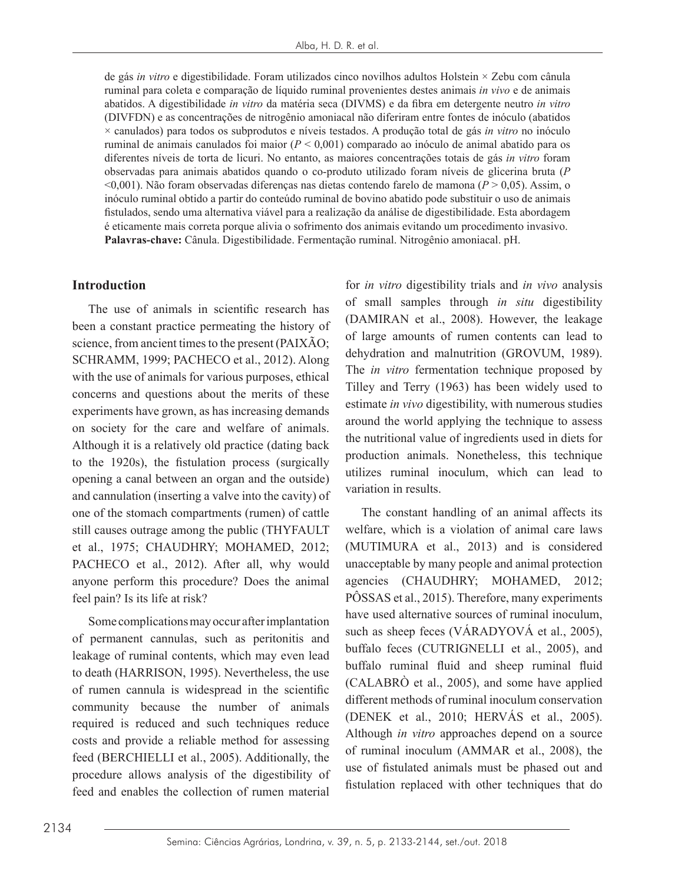de gás *in vitro* e digestibilidade. Foram utilizados cinco novilhos adultos Holstein × Zebu com cânula ruminal para coleta e comparação de líquido ruminal provenientes destes animais *in vivo* e de animais abatidos. A digestibilidade *in vitro* da matéria seca (DIVMS) e da fibra em detergente neutro *in vitro* (DIVFDN) e as concentrações de nitrogênio amoniacal não diferiram entre fontes de inóculo (abatidos × canulados) para todos os subprodutos e níveis testados. A produção total de gás *in vitro* no inóculo ruminal de animais canulados foi maior (*P* < 0,001) comparado ao inóculo de animal abatido para os diferentes níveis de torta de licuri. No entanto, as maiores concentrações totais de gás *in vitro* foram observadas para animais abatidos quando o co-produto utilizado foram níveis de glicerina bruta (*P* <0,001). Não foram observadas diferenças nas dietas contendo farelo de mamona (*P* > 0,05). Assim, o inóculo ruminal obtido a partir do conteúdo ruminal de bovino abatido pode substituir o uso de animais fistulados, sendo uma alternativa viável para a realização da análise de digestibilidade. Esta abordagem é eticamente mais correta porque alivia o sofrimento dos animais evitando um procedimento invasivo. **Palavras-chave:** Cânula. Digestibilidade. Fermentação ruminal. Nitrogênio amoniacal. pH.

#### **Introduction**

The use of animals in scientific research has been a constant practice permeating the history of science, from ancient times to the present (PAIXÃO; SCHRAMM, 1999; PACHECO et al., 2012). Along with the use of animals for various purposes, ethical concerns and questions about the merits of these experiments have grown, as has increasing demands on society for the care and welfare of animals. Although it is a relatively old practice (dating back to the 1920s), the fistulation process (surgically opening a canal between an organ and the outside) and cannulation (inserting a valve into the cavity) of one of the stomach compartments (rumen) of cattle still causes outrage among the public (THYFAULT et al., 1975; CHAUDHRY; MOHAMED, 2012; PACHECO et al., 2012). After all, why would anyone perform this procedure? Does the animal feel pain? Is its life at risk?

Some complications may occur after implantation of permanent cannulas, such as peritonitis and leakage of ruminal contents, which may even lead to death (HARRISON, 1995). Nevertheless, the use of rumen cannula is widespread in the scientific community because the number of animals required is reduced and such techniques reduce costs and provide a reliable method for assessing feed (BERCHIELLI et al., 2005). Additionally, the procedure allows analysis of the digestibility of feed and enables the collection of rumen material for *in vitro* digestibility trials and *in vivo* analysis of small samples through *in situ* digestibility (DAMIRAN et al., 2008). However, the leakage of large amounts of rumen contents can lead to dehydration and malnutrition (GROVUM, 1989). The *in vitro* fermentation technique proposed by Tilley and Terry (1963) has been widely used to estimate *in vivo* digestibility, with numerous studies around the world applying the technique to assess the nutritional value of ingredients used in diets for production animals. Nonetheless, this technique utilizes ruminal inoculum, which can lead to variation in results.

The constant handling of an animal affects its welfare, which is a violation of animal care laws (MUTIMURA et al., 2013) and is considered unacceptable by many people and animal protection agencies (CHAUDHRY; MOHAMED, 2012; PÔSSAS et al., 2015). Therefore, many experiments have used alternative sources of ruminal inoculum, such as sheep feces (VÁRADYOVÁ et al., 2005), buffalo feces (CUTRIGNELLI et al., 2005), and buffalo ruminal fluid and sheep ruminal fluid (CALABRÒ et al., 2005), and some have applied different methods of ruminal inoculum conservation (DENEK et al., 2010; HERVÁS et al., 2005). Although *in vitro* approaches depend on a source of ruminal inoculum (AMMAR et al., 2008), the use of fistulated animals must be phased out and fistulation replaced with other techniques that do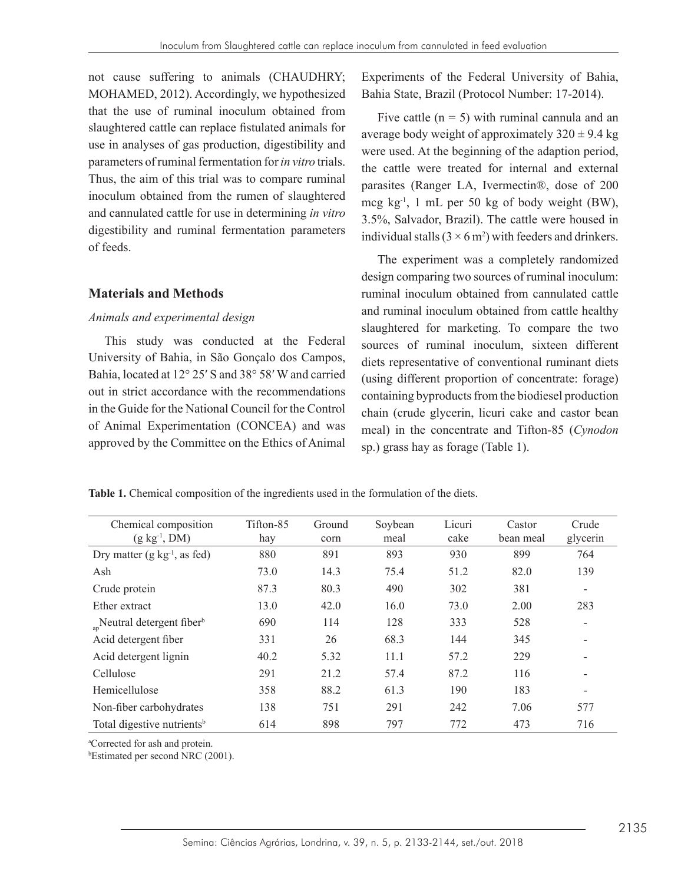not cause suffering to animals (CHAUDHRY; MOHAMED, 2012). Accordingly, we hypothesized that the use of ruminal inoculum obtained from slaughtered cattle can replace fistulated animals for use in analyses of gas production, digestibility and parameters of ruminal fermentation for *in vitro* trials. Thus, the aim of this trial was to compare ruminal inoculum obtained from the rumen of slaughtered and cannulated cattle for use in determining *in vitro*  digestibility and ruminal fermentation parameters of feeds.

## **Materials and Methods**

#### *Animals and experimental design*

This study was conducted at the Federal University of Bahia, in São Gonçalo dos Campos, Bahia, located at 12° 25′ S and 38° 58′ W and carried out in strict accordance with the recommendations in the Guide for the National Council for the Control of Animal Experimentation (CONCEA) and was approved by the Committee on the Ethics of Animal Experiments of the Federal University of Bahia, Bahia State, Brazil (Protocol Number: 17-2014).

Five cattle  $(n = 5)$  with ruminal cannula and an average body weight of approximately  $320 \pm 9.4$  kg were used. At the beginning of the adaption period, the cattle were treated for internal and external parasites (Ranger LA, Ivermectin®, dose of 200 mcg kg-1, 1 mL per 50 kg of body weight (BW), 3.5%, Salvador, Brazil). The cattle were housed in individual stalls  $(3 \times 6 \text{ m}^2)$  with feeders and drinkers.

The experiment was a completely randomized design comparing two sources of ruminal inoculum: ruminal inoculum obtained from cannulated cattle and ruminal inoculum obtained from cattle healthy slaughtered for marketing. To compare the two sources of ruminal inoculum, sixteen different diets representative of conventional ruminant diets (using different proportion of concentrate: forage) containing byproducts from the biodiesel production chain (crude glycerin, licuri cake and castor bean meal) in the concentrate and Tifton-85 (*Cynodon*  sp.) grass hay as forage (Table 1).

**Table 1.** Chemical composition of the ingredients used in the formulation of the diets.

| Chemical composition<br>$(g \ kg^{-1}, DM)$          | Tifton-85<br>hay | Ground<br>corn | Soybean<br>meal | Licuri<br>cake | Castor<br>bean meal | Crude<br>glycerin            |
|------------------------------------------------------|------------------|----------------|-----------------|----------------|---------------------|------------------------------|
| Dry matter $(g \ kg^{-1}, as fed)$                   | 880              | 891            | 893             | 930            | 899                 | 764                          |
| Ash                                                  | 73.0             | 14.3           | 75.4            | 51.2           | 82.0                | 139                          |
| Crude protein                                        | 87.3             | 80.3           | 490             | 302            | 381                 | $\overline{a}$               |
| Ether extract                                        | 13.0             | 42.0           | 16.0            | 73.0           | 2.00                | 283                          |
| a <sub>ap</sub> Neutral detergent fiber <sup>b</sup> | 690              | 114            | 128             | 333            | 528                 | $\qquad \qquad \blacksquare$ |
| Acid detergent fiber                                 | 331              | 26             | 68.3            | 144            | 345                 |                              |
| Acid detergent lignin                                | 40.2             | 5.32           | 11.1            | 57.2           | 229                 |                              |
| Cellulose                                            | 291              | 21.2           | 57.4            | 87.2           | 116                 |                              |
| Hemicellulose                                        | 358              | 88.2           | 61.3            | 190            | 183                 |                              |
| Non-fiber carbohydrates                              | 138              | 751            | 291             | 242            | 7.06                | 577                          |
| Total digestive nutrients <sup>b</sup>               | 614              | 898            | 797             | 772            | 473                 | 716                          |

a Corrected for ash and protein.

b Estimated per second NRC (2001).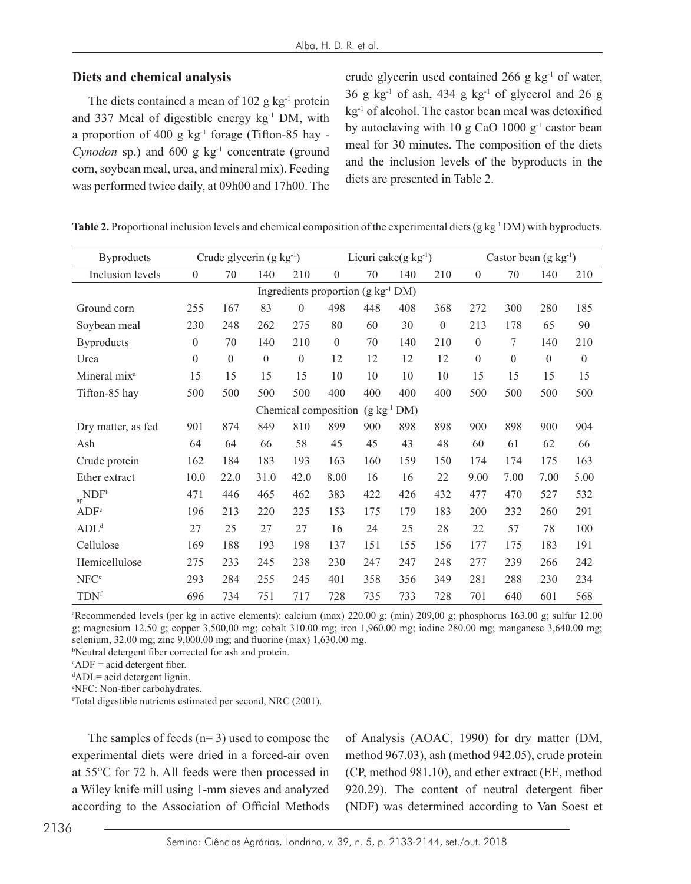## **Diets and chemical analysis**

The diets contained a mean of  $102$  g kg<sup>-1</sup> protein and 337 Mcal of digestible energy kg-1 DM, with a proportion of  $400 \text{ g kg}^{-1}$  forage (Tifton-85 hay -*Cynodon* sp.) and 600 g kg<sup>-1</sup> concentrate (ground corn, soybean meal, urea, and mineral mix). Feeding was performed twice daily, at 09h00 and 17h00. The crude glycerin used contained  $266$  g kg<sup>-1</sup> of water,  $36$  g kg<sup>-1</sup> of ash,  $434$  g kg<sup>-1</sup> of glycerol and  $26$  g kg-1 of alcohol. The castor bean meal was detoxified by autoclaving with 10 g CaO 1000  $g^{-1}$  castor bean meal for 30 minutes. The composition of the diets and the inclusion levels of the byproducts in the diets are presented in Table 2.

| <b>Byproducts</b>                               | Crude glycerin (g kg <sup>-1</sup> ) |                  |                  | Licuri cake(g kg <sup>-1</sup> ) |                  |     |     | Castor bean $(g \ kg^{-1})$ |                  |                  |                  |                  |
|-------------------------------------------------|--------------------------------------|------------------|------------------|----------------------------------|------------------|-----|-----|-----------------------------|------------------|------------------|------------------|------------------|
| Inclusion levels                                | $\boldsymbol{0}$                     | 70               | 140              | 210                              | $\boldsymbol{0}$ | 70  | 140 | 210                         | $\boldsymbol{0}$ | 70               | 140              | 210              |
| Ingredients proportion $(g \ kg^{-1} DM)$       |                                      |                  |                  |                                  |                  |     |     |                             |                  |                  |                  |                  |
| Ground corn                                     | 255                                  | 167              | 83               | $\mathbf{0}$                     | 498              | 448 | 408 | 368                         | 272              | 300              | 280              | 185              |
| Soybean meal                                    | 230                                  | 248              | 262              | 275                              | 80               | 60  | 30  | $\boldsymbol{0}$            | 213              | 178              | 65               | 90               |
| <b>Byproducts</b>                               | $\mathbf{0}$                         | 70               | 140              | 210                              | $\boldsymbol{0}$ | 70  | 140 | 210                         | $\mathbf{0}$     | 7                | 140              | 210              |
| Urea                                            | $\boldsymbol{0}$                     | $\boldsymbol{0}$ | $\boldsymbol{0}$ | $\boldsymbol{0}$                 | 12               | 12  | 12  | 12                          | $\boldsymbol{0}$ | $\boldsymbol{0}$ | $\boldsymbol{0}$ | $\boldsymbol{0}$ |
| Mineral mix <sup>a</sup>                        | 15                                   | 15               | 15               | 15                               | 10               | 10  | 10  | 10                          | 15               | 15               | 15               | 15               |
| Tifton-85 hay                                   | 500                                  | 500              | 500              | 500                              | 400              | 400 | 400 | 400                         | 500              | 500              | 500              | 500              |
| Chemical composition<br>DM)<br>$(g \; kg^{-1})$ |                                      |                  |                  |                                  |                  |     |     |                             |                  |                  |                  |                  |
| Dry matter, as fed                              | 901                                  | 874              | 849              | 810                              | 899              | 900 | 898 | 898                         | 900              | 898              | 900              | 904              |
| Ash                                             | 64                                   | 64               | 66               | 58                               | 45               | 45  | 43  | 48                          | 60               | 61               | 62               | 66               |
| Crude protein                                   | 162                                  | 184              | 183              | 193                              | 163              | 160 | 159 | 150                         | 174              | 174              | 175              | 163              |
| Ether extract                                   | 10.0                                 | 22.0             | 31.0             | 42.0                             | 8.00             | 16  | 16  | 22                          | 9.00             | 7.00             | 7.00             | 5.00             |
| $_{ap}NDFb$                                     | 471                                  | 446              | 465              | 462                              | 383              | 422 | 426 | 432                         | 477              | 470              | 527              | 532              |
| ADF <sup>c</sup>                                | 196                                  | 213              | 220              | 225                              | 153              | 175 | 179 | 183                         | 200              | 232              | 260              | 291              |
| ADL <sup>d</sup>                                | 27                                   | 25               | 27               | 27                               | 16               | 24  | 25  | 28                          | 22               | 57               | 78               | 100              |
| Cellulose                                       | 169                                  | 188              | 193              | 198                              | 137              | 151 | 155 | 156                         | 177              | 175              | 183              | 191              |
| Hemicellulose                                   | 275                                  | 233              | 245              | 238                              | 230              | 247 | 247 | 248                         | 277              | 239              | 266              | 242              |
| NFC <sup>e</sup>                                | 293                                  | 284              | 255              | 245                              | 401              | 358 | 356 | 349                         | 281              | 288              | 230              | 234              |
| <b>TDNf</b>                                     | 696                                  | 734              | 751              | 717                              | 728              | 735 | 733 | 728                         | 701              | 640              | 601              | 568              |

a Recommended levels (per kg in active elements): calcium (max) 220.00 g; (min) 209,00 g; phosphorus 163.00 g; sulfur 12.00 g; magnesium 12.50 g; copper 3,500,00 mg; cobalt 310.00 mg; iron 1,960.00 mg; iodine 280.00 mg; manganese 3,640.00 mg; selenium, 32.00 mg; zinc 9,000.00 mg; and fluorine (max) 1,630.00 mg.

b Neutral detergent fiber corrected for ash and protein.

 $c^c$ ADF = acid detergent fiber.

d ADL= acid detergent lignin.

e NFC: Non-fiber carbohydrates.

f Total digestible nutrients estimated per second, NRC (2001).

The samples of feeds  $(n=3)$  used to compose the experimental diets were dried in a forced-air oven at 55°C for 72 h. All feeds were then processed in a Wiley knife mill using 1-mm sieves and analyzed according to the Association of Official Methods of Analysis (AOAC, 1990) for dry matter (DM, method 967.03), ash (method 942.05), crude protein (CP, method 981.10), and ether extract (EE, method 920.29). The content of neutral detergent fiber (NDF) was determined according to Van Soest et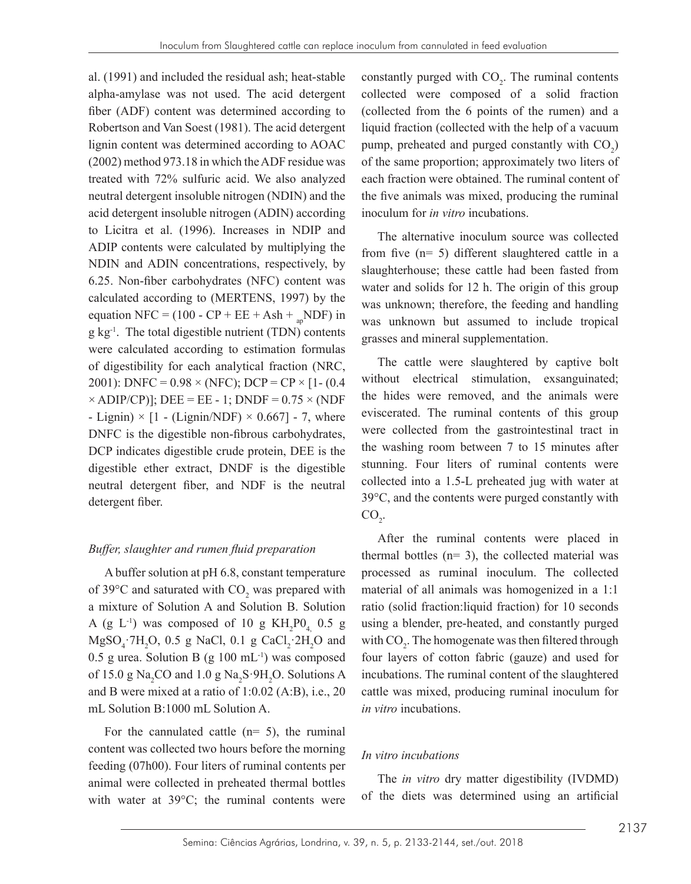al. (1991) and included the residual ash; heat-stable alpha-amylase was not used. The acid detergent fiber (ADF) content was determined according to Robertson and Van Soest (1981). The acid detergent lignin content was determined according to AOAC (2002) method 973.18 in which the ADF residue was treated with 72% sulfuric acid. We also analyzed neutral detergent insoluble nitrogen (NDIN) and the acid detergent insoluble nitrogen (ADIN) according to Licitra et al. (1996). Increases in NDIP and ADIP contents were calculated by multiplying the NDIN and ADIN concentrations, respectively, by 6.25. Non-fiber carbohydrates (NFC) content was calculated according to (MERTENS, 1997) by the equation NFC =  $(100 - CP + EE + Ash + _{an}NDF)$  in  $g \text{ kg}^{-1}$ . The total digestible nutrient (TDN) contents were calculated according to estimation formulas of digestibility for each analytical fraction (NRC, 2001): DNFC =  $0.98 \times (NFC)$ ; DCP = CP  $\times$  [1 - (0.4)  $\times$  ADIP/CP)]; DEE = EE - 1; DNDF = 0.75  $\times$  (NDF - Lignin)  $\times$  [1 - (Lignin/NDF)  $\times$  0.667] - 7, where DNFC is the digestible non-fibrous carbohydrates, DCP indicates digestible crude protein, DEE is the digestible ether extract, DNDF is the digestible neutral detergent fiber, and NDF is the neutral detergent fiber.

## *Buffer, slaughter and rumen fluid preparation*

A buffer solution at pH 6.8, constant temperature of 39 $\degree$ C and saturated with CO<sub>2</sub> was prepared with a mixture of Solution A and Solution B. Solution A (g L<sup>-1</sup>) was composed of 10 g  $KH_{2}PO_{4}$  0.5 g  $MgSO_{4}$  7H<sub>2</sub>O, 0.5 g NaCl, 0.1 g CaCl<sub>2</sub> 2H<sub>2</sub>O and 0.5 g urea. Solution B (g  $100 \text{ mL}^{-1}$ ) was composed of 15.0 g Na<sub>2</sub>CO and 1.0 g Na<sub>2</sub>S $\cdot$ 9H<sub>2</sub>O. Solutions A and B were mixed at a ratio of 1:0.02 (A:B), i.e., 20 mL Solution B:1000 mL Solution A.

For the cannulated cattle  $(n= 5)$ , the ruminal content was collected two hours before the morning feeding (07h00). Four liters of ruminal contents per animal were collected in preheated thermal bottles with water at 39°C; the ruminal contents were

constantly purged with  $CO<sub>2</sub>$ . The ruminal contents collected were composed of a solid fraction (collected from the 6 points of the rumen) and a liquid fraction (collected with the help of a vacuum pump, preheated and purged constantly with  $CO<sub>2</sub>$ ) of the same proportion; approximately two liters of each fraction were obtained. The ruminal content of the five animals was mixed, producing the ruminal inoculum for *in vitro* incubations.

The alternative inoculum source was collected from five (n= 5) different slaughtered cattle in a slaughterhouse; these cattle had been fasted from water and solids for 12 h. The origin of this group was unknown; therefore, the feeding and handling was unknown but assumed to include tropical grasses and mineral supplementation.

The cattle were slaughtered by captive bolt without electrical stimulation, exsanguinated; the hides were removed, and the animals were eviscerated. The ruminal contents of this group were collected from the gastrointestinal tract in the washing room between 7 to 15 minutes after stunning. Four liters of ruminal contents were collected into a 1.5-L preheated jug with water at 39°C, and the contents were purged constantly with  $CO<sub>2</sub>$ .

After the ruminal contents were placed in thermal bottles  $(n= 3)$ , the collected material was processed as ruminal inoculum. The collected material of all animals was homogenized in a 1:1 ratio (solid fraction:liquid fraction) for 10 seconds using a blender, pre-heated, and constantly purged with  $CO<sub>2</sub>$ . The homogenate was then filtered through four layers of cotton fabric (gauze) and used for incubations. The ruminal content of the slaughtered cattle was mixed, producing ruminal inoculum for *in vitro* incubations.

#### *In vitro incubations*

The *in vitro* dry matter digestibility (IVDMD) of the diets was determined using an artificial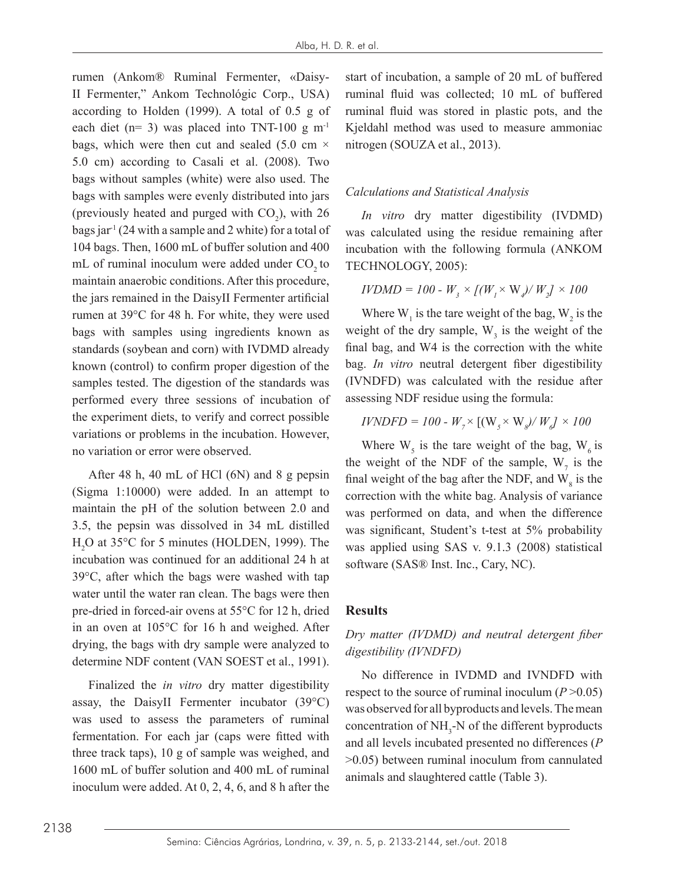rumen (Ankom® Ruminal Fermenter, «Daisy-II Fermenter," Ankom Technológic Corp., USA) according to Holden (1999). A total of 0.5 g of each diet ( $n= 3$ ) was placed into TNT-100 g  $m^{-1}$ bags, which were then cut and sealed (5.0 cm  $\times$ 5.0 cm) according to Casali et al. (2008). Two bags without samples (white) were also used. The bags with samples were evenly distributed into jars (previously heated and purged with  $CO<sub>2</sub>$ ), with 26 bags jar<sup>1</sup> (24 with a sample and 2 white) for a total of 104 bags. Then, 1600 mL of buffer solution and 400 mL of ruminal inoculum were added under  $CO<sub>2</sub>$  to maintain anaerobic conditions. After this procedure, the jars remained in the DaisyII Fermenter artificial rumen at 39°C for 48 h. For white, they were used bags with samples using ingredients known as standards (soybean and corn) with IVDMD already known (control) to confirm proper digestion of the samples tested. The digestion of the standards was performed every three sessions of incubation of the experiment diets, to verify and correct possible variations or problems in the incubation. However, no variation or error were observed.

After 48 h, 40 mL of HCl (6N) and 8 g pepsin (Sigma 1:10000) were added. In an attempt to maintain the pH of the solution between 2.0 and 3.5, the pepsin was dissolved in 34 mL distilled H2 O at 35°C for 5 minutes (HOLDEN, 1999). The incubation was continued for an additional 24 h at 39°C, after which the bags were washed with tap water until the water ran clean. The bags were then pre-dried in forced-air ovens at 55°C for 12 h, dried in an oven at 105°C for 16 h and weighed. After drying, the bags with dry sample were analyzed to determine NDF content (VAN SOEST et al., 1991).

Finalized the *in vitro* dry matter digestibility assay, the DaisyII Fermenter incubator (39°C) was used to assess the parameters of ruminal fermentation. For each jar (caps were fitted with three track taps), 10 g of sample was weighed, and 1600 mL of buffer solution and 400 mL of ruminal inoculum were added. At 0, 2, 4, 6, and 8 h after the start of incubation, a sample of 20 mL of buffered ruminal fluid was collected; 10 mL of buffered ruminal fluid was stored in plastic pots, and the Kjeldahl method was used to measure ammoniac nitrogen (SOUZA et al., 2013).

## *Calculations and Statistical Analysis*

*In vitro* dry matter digestibility (IVDMD) was calculated using the residue remaining after incubation with the following formula (ANKOM TECHNOLOGY, 2005):

$$
IVDMD = 100 - W_{3} \times [(W_{1} \times W_{4})/W_{2}] \times 100
$$

Where  $W_1$  is the tare weight of the bag,  $W_2$  is the weight of the dry sample,  $W_3$  is the weight of the final bag, and W4 is the correction with the white bag. *In vitro* neutral detergent fiber digestibility (IVNDFD) was calculated with the residue after assessing NDF residue using the formula:

$$
IVNDFD = 100 - W_{7} \times [(W_{5} \times W_{8})/W_{6}] \times 100
$$

Where  $W_s$  is the tare weight of the bag,  $W_6$  is the weight of the NDF of the sample,  $W_7$  is the final weight of the bag after the NDF, and  $W<sub>8</sub>$  is the correction with the white bag. Analysis of variance was performed on data, and when the difference was significant, Student's t-test at 5% probability was applied using SAS v. 9.1.3 (2008) statistical software (SAS® Inst. Inc., Cary, NC).

## **Results**

## *Dry matter (IVDMD) and neutral detergent fiber digestibility (IVNDFD)*

No difference in IVDMD and IVNDFD with respect to the source of ruminal inoculum  $(P > 0.05)$ was observed for all byproducts and levels. The mean concentration of  $NH<sub>3</sub>$ -N of the different byproducts and all levels incubated presented no differences (*P*  >0.05) between ruminal inoculum from cannulated animals and slaughtered cattle (Table 3).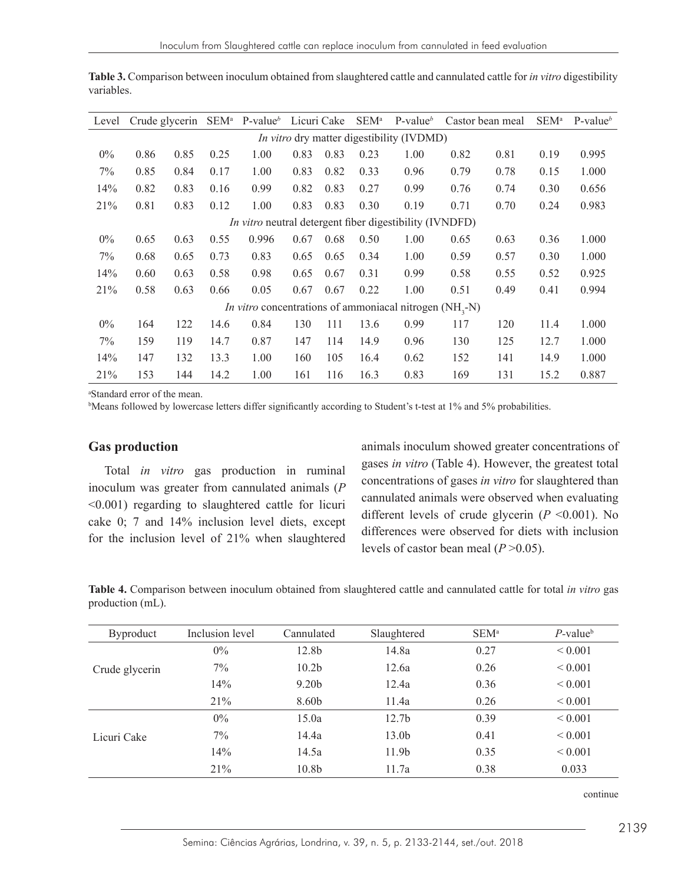| Level                                                            |      | Crude glycerin | $SEM^a$ | $P$ -value $\phi$ |      | Licuri Cake | $SEM^a$ | $P-value^b$ |      | Castor bean meal | $SEM^a$ | $P-value^b$ |
|------------------------------------------------------------------|------|----------------|---------|-------------------|------|-------------|---------|-------------|------|------------------|---------|-------------|
| In vitro dry matter digestibility (IVDMD)                        |      |                |         |                   |      |             |         |             |      |                  |         |             |
| $0\%$                                                            | 0.86 | 0.85           | 0.25    | 1.00              | 0.83 | 0.83        | 0.23    | 1.00        | 0.82 | 0.81             | 0.19    | 0.995       |
| $7\%$                                                            | 0.85 | 0.84           | 0.17    | 1.00              | 0.83 | 0.82        | 0.33    | 0.96        | 0.79 | 0.78             | 0.15    | 1.000       |
| 14%                                                              | 0.82 | 0.83           | 0.16    | 0.99              | 0.82 | 0.83        | 0.27    | 0.99        | 0.76 | 0.74             | 0.30    | 0.656       |
| 21%                                                              | 0.81 | 0.83           | 0.12    | 1.00              | 0.83 | 0.83        | 0.30    | 0.19        | 0.71 | 0.70             | 0.24    | 0.983       |
| <i>In vitro</i> neutral detergent fiber digestibility (IVNDFD)   |      |                |         |                   |      |             |         |             |      |                  |         |             |
| $0\%$                                                            | 0.65 | 0.63           | 0.55    | 0.996             | 0.67 | 0.68        | 0.50    | 1.00        | 0.65 | 0.63             | 0.36    | 1.000       |
| $7\%$                                                            | 0.68 | 0.65           | 0.73    | 0.83              | 0.65 | 0.65        | 0.34    | 1.00        | 0.59 | 0.57             | 0.30    | 1.000       |
| 14%                                                              | 0.60 | 0.63           | 0.58    | 0.98              | 0.65 | 0.67        | 0.31    | 0.99        | 0.58 | 0.55             | 0.52    | 0.925       |
| 21%                                                              | 0.58 | 0.63           | 0.66    | 0.05              | 0.67 | 0.67        | 0.22    | 1.00        | 0.51 | 0.49             | 0.41    | 0.994       |
| <i>In vitro</i> concentrations of ammoniacal nitrogen $(NH, -N)$ |      |                |         |                   |      |             |         |             |      |                  |         |             |
| $0\%$                                                            | 164  | 122            | 14.6    | 0.84              | 130  | 111         | 13.6    | 0.99        | 117  | 120              | 11.4    | 1.000       |
| $7\%$                                                            | 159  | 119            | 14.7    | 0.87              | 147  | 114         | 14.9    | 0.96        | 130  | 125              | 12.7    | 1.000       |
| 14%                                                              | 147  | 132            | 13.3    | 1.00              | 160  | 105         | 16.4    | 0.62        | 152  | 141              | 14.9    | 1.000       |
| 21%                                                              | 153  | 144            | 14.2    | 1.00              | 161  | 116         | 16.3    | 0.83        | 169  | 131              | 15.2    | 0.887       |

**Table 3.** Comparison between inoculum obtained from slaughtered cattle and cannulated cattle for *in vitro* digestibility variables.

a Standard error of the mean.

b Means followed by lowercase letters differ significantly according to Student's t-test at 1% and 5% probabilities.

#### **Gas production**

Total *in vitro* gas production in ruminal inoculum was greater from cannulated animals (*P*  <0.001) regarding to slaughtered cattle for licuri cake 0; 7 and 14% inclusion level diets, except for the inclusion level of 21% when slaughtered animals inoculum showed greater concentrations of gases *in vitro* (Table 4). However, the greatest total concentrations of gases *in vitro* for slaughtered than cannulated animals were observed when evaluating different levels of crude glycerin (*P* <0.001). No differences were observed for diets with inclusion levels of castor bean meal  $(P > 0.05)$ .

**Table 4.** Comparison between inoculum obtained from slaughtered cattle and cannulated cattle for total *in vitro* gas production (mL).

| <b>Byproduct</b> | Inclusion level | Cannulated        | Slaughtered       | $SEM^a$ | $P$ -value <sup>b</sup> |
|------------------|-----------------|-------------------|-------------------|---------|-------------------------|
|                  | $0\%$           | 12.8 <sub>b</sub> | 14.8a             | 0.27    | ${}_{0.001}$            |
| Crude glycerin   | 7%              | 10.2 <sub>b</sub> | 12.6a             | 0.26    | ${}_{0.001}$            |
|                  | 14%             | 9.20 <sub>b</sub> | 12.4a             | 0.36    | ${}_{0.001}$            |
|                  | 21%             | 8.60b             | 11.4a             | 0.26    | ${}_{0.001}$            |
|                  | 0%              | 15.0a             | 12.7 <sub>b</sub> | 0.39    | ${}_{0.001}$            |
| Licuri Cake      | 7%              | 14.4a             | 13.0 <sub>b</sub> | 0.41    | ${}_{0.001}$            |
|                  | 14%             | 14.5a             | 11.9 <sub>b</sub> | 0.35    | ${}_{0.001}$            |
|                  | 21%             | 10.8 <sub>b</sub> | 11.7a             | 0.38    | 0.033                   |

continue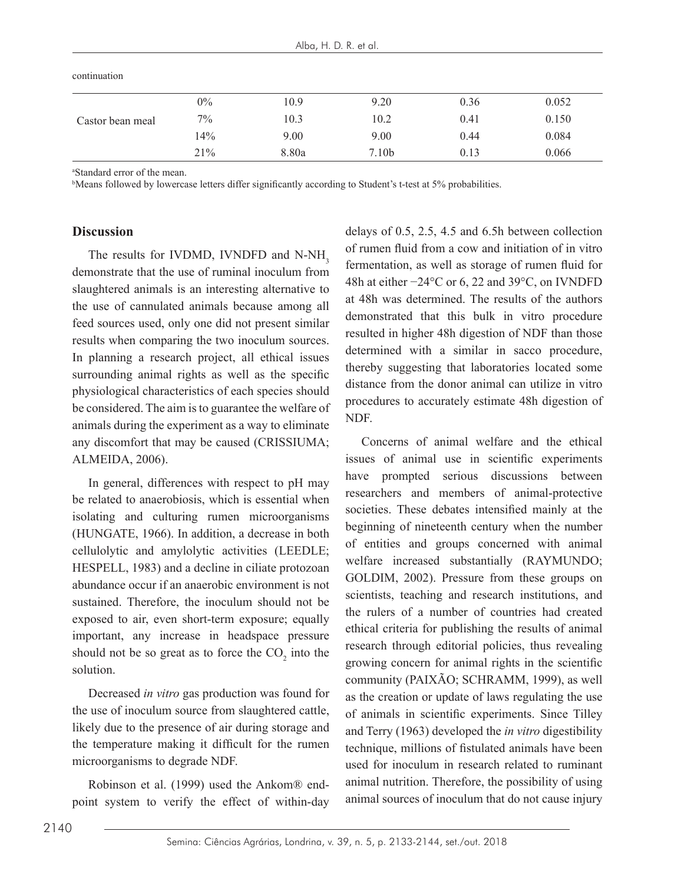| - - - - - - - - - - - - - - - - - - |       |       |                   |      |       |
|-------------------------------------|-------|-------|-------------------|------|-------|
| Castor bean meal                    | $0\%$ | 10.9  | 9.20              | 0.36 | 0.052 |
|                                     | 7%    | 10.3  | 10.2              | 0.41 | 0.150 |
|                                     | 14%   | 9.00  | 9.00              | 0.44 | 0.084 |
|                                     | 21%   | 8.80a | 7.10 <sub>b</sub> | 0.13 | 0.066 |
|                                     |       |       |                   |      |       |

continuation

a Standard error of the mean.

b Means followed by lowercase letters differ significantly according to Student's t-test at 5% probabilities.

#### **Discussion**

The results for IVDMD, IVNDFD and N-NH<sub>3</sub> demonstrate that the use of ruminal inoculum from slaughtered animals is an interesting alternative to the use of cannulated animals because among all feed sources used, only one did not present similar results when comparing the two inoculum sources. In planning a research project, all ethical issues surrounding animal rights as well as the specific physiological characteristics of each species should be considered. The aim is to guarantee the welfare of animals during the experiment as a way to eliminate any discomfort that may be caused (CRISSIUMA; ALMEIDA, 2006).

In general, differences with respect to pH may be related to anaerobiosis, which is essential when isolating and culturing rumen microorganisms (HUNGATE, 1966). In addition, a decrease in both cellulolytic and amylolytic activities (LEEDLE; HESPELL, 1983) and a decline in ciliate protozoan abundance occur if an anaerobic environment is not sustained. Therefore, the inoculum should not be exposed to air, even short-term exposure; equally important, any increase in headspace pressure should not be so great as to force the  $CO<sub>2</sub>$  into the solution.

Decreased *in vitro* gas production was found for the use of inoculum source from slaughtered cattle, likely due to the presence of air during storage and the temperature making it difficult for the rumen microorganisms to degrade NDF.

Robinson et al. (1999) used the Ankom® endpoint system to verify the effect of within-day delays of 0.5, 2.5, 4.5 and 6.5h between collection of rumen fluid from a cow and initiation of in vitro fermentation, as well as storage of rumen fluid for 48h at either −24°C or 6, 22 and 39°C, on IVNDFD at 48h was determined. The results of the authors demonstrated that this bulk in vitro procedure resulted in higher 48h digestion of NDF than those determined with a similar in sacco procedure, thereby suggesting that laboratories located some distance from the donor animal can utilize in vitro procedures to accurately estimate 48h digestion of NDF.

Concerns of animal welfare and the ethical issues of animal use in scientific experiments have prompted serious discussions between researchers and members of animal-protective societies. These debates intensified mainly at the beginning of nineteenth century when the number of entities and groups concerned with animal welfare increased substantially (RAYMUNDO; GOLDIM, 2002). Pressure from these groups on scientists, teaching and research institutions, and the rulers of a number of countries had created ethical criteria for publishing the results of animal research through editorial policies, thus revealing growing concern for animal rights in the scientific community (PAIXÃO; SCHRAMM, 1999), as well as the creation or update of laws regulating the use of animals in scientific experiments. Since Tilley and Terry (1963) developed the *in vitro* digestibility technique, millions of fistulated animals have been used for inoculum in research related to ruminant animal nutrition. Therefore, the possibility of using animal sources of inoculum that do not cause injury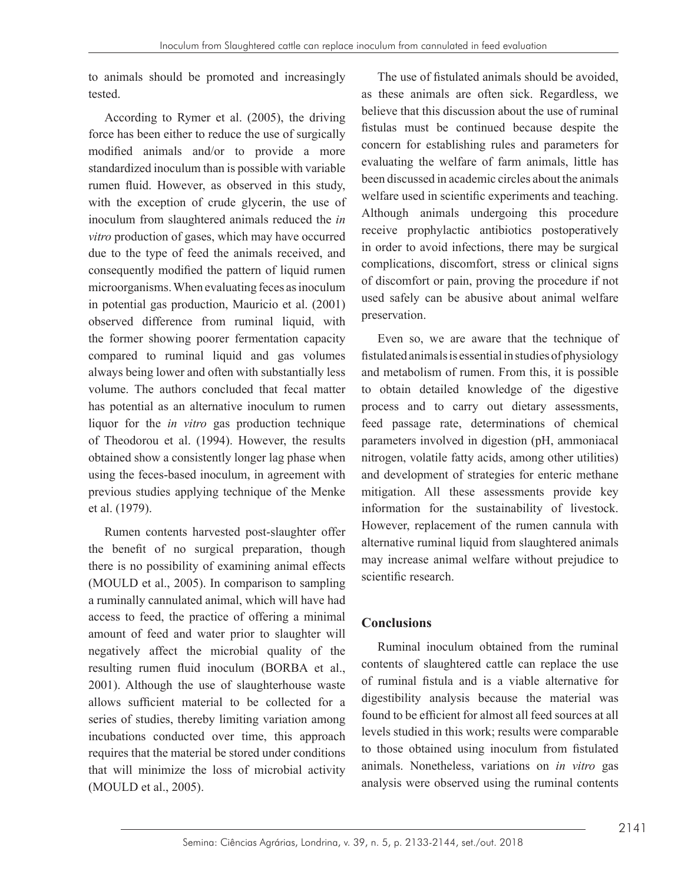to animals should be promoted and increasingly tested.

According to Rymer et al. (2005), the driving force has been either to reduce the use of surgically modified animals and/or to provide a more standardized inoculum than is possible with variable rumen fluid. However, as observed in this study, with the exception of crude glycerin, the use of inoculum from slaughtered animals reduced the *in vitro* production of gases, which may have occurred due to the type of feed the animals received, and consequently modified the pattern of liquid rumen microorganisms. When evaluating feces as inoculum in potential gas production, Mauricio et al. (2001) observed difference from ruminal liquid, with the former showing poorer fermentation capacity compared to ruminal liquid and gas volumes always being lower and often with substantially less volume. The authors concluded that fecal matter has potential as an alternative inoculum to rumen liquor for the *in vitro* gas production technique of Theodorou et al. (1994). However, the results obtained show a consistently longer lag phase when using the feces-based inoculum, in agreement with previous studies applying technique of the Menke et al. (1979).

Rumen contents harvested post-slaughter offer the benefit of no surgical preparation, though there is no possibility of examining animal effects (MOULD et al., 2005). In comparison to sampling a ruminally cannulated animal, which will have had access to feed, the practice of offering a minimal amount of feed and water prior to slaughter will negatively affect the microbial quality of the resulting rumen fluid inoculum (BORBA et al., 2001). Although the use of slaughterhouse waste allows sufficient material to be collected for a series of studies, thereby limiting variation among incubations conducted over time, this approach requires that the material be stored under conditions that will minimize the loss of microbial activity (MOULD et al., 2005).

The use of fistulated animals should be avoided, as these animals are often sick. Regardless, we believe that this discussion about the use of ruminal fistulas must be continued because despite the concern for establishing rules and parameters for evaluating the welfare of farm animals, little has been discussed in academic circles about the animals welfare used in scientific experiments and teaching. Although animals undergoing this procedure receive prophylactic antibiotics postoperatively in order to avoid infections, there may be surgical complications, discomfort, stress or clinical signs of discomfort or pain, proving the procedure if not used safely can be abusive about animal welfare preservation.

Even so, we are aware that the technique of fistulated animals is essential in studies of physiology and metabolism of rumen. From this, it is possible to obtain detailed knowledge of the digestive process and to carry out dietary assessments, feed passage rate, determinations of chemical parameters involved in digestion (pH, ammoniacal nitrogen, volatile fatty acids, among other utilities) and development of strategies for enteric methane mitigation. All these assessments provide key information for the sustainability of livestock. However, replacement of the rumen cannula with alternative ruminal liquid from slaughtered animals may increase animal welfare without prejudice to scientific research.

# **Conclusions**

Ruminal inoculum obtained from the ruminal contents of slaughtered cattle can replace the use of ruminal fistula and is a viable alternative for digestibility analysis because the material was found to be efficient for almost all feed sources at all levels studied in this work; results were comparable to those obtained using inoculum from fistulated animals. Nonetheless, variations on *in vitro* gas analysis were observed using the ruminal contents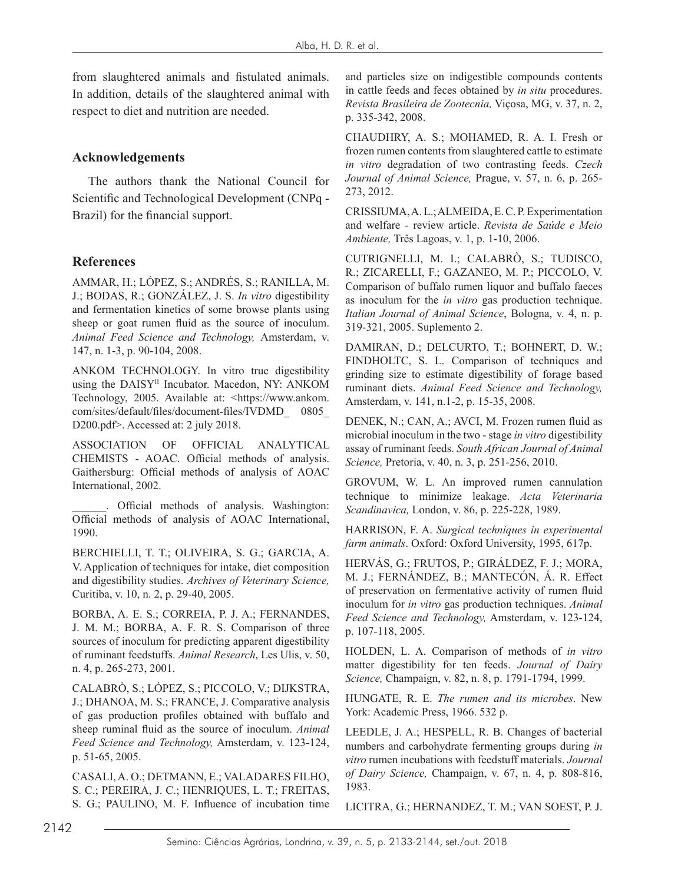from slaughtered animals and fistulated animals. In addition, details of the slaughtered animal with respect to diet and nutrition are needed.

### **Acknowledgements**

The authors thank the National Council for Scientific and Technological Development (CNPq - Brazil) for the financial support.

## **References**

AMMAR, H.; LÓPEZ, S.; ANDRÉS, S.; RANILLA, M. J.; BODAS, R.; GONZÁLEZ, J. S. *In vitro* digestibility and fermentation kinetics of some browse plants using sheep or goat rumen fluid as the source of inoculum. *Animal Feed Science and Technology,* Amsterdam, v. 147, n. 1-3, p. 90-104, 2008.

ANKOM TECHNOLOGY. In vitro true digestibility using the DAISYII Incubator. Macedon, NY: ANKOM Technology, 2005. Available at: <https://www.ankom. com/sites/default/files/document-files/IVDMD\_ 0805\_ D200.pdf>. Accessed at: 2 july 2018.

ASSOCIATION OF OFFICIAL ANALYTICAL CHEMISTS - AOAC. Official methods of analysis. Gaithersburg: Official methods of analysis of AOAC International, 2002.

\_\_\_\_\_\_. Official methods of analysis. Washington: Official methods of analysis of AOAC International, 1990.

BERCHIELLI, T. T.; OLIVEIRA, S. G.; GARCIA, A. V. Application of techniques for intake, diet composition and digestibility studies. *Archives of Veterinary Science,* Curitiba, v. 10, n. 2, p. 29-40, 2005.

BORBA, A. E. S.; CORREIA, P. J. A.; FERNANDES, J. M. M.; BORBA, A. F. R. S. Comparison of three sources of inoculum for predicting apparent digestibility of ruminant feedstuffs. *Animal Research*, Les Ulis, v. 50, n. 4, p. 265-273, 2001.

CALABRÒ, S.; LÓPEZ, S.; PICCOLO, V.; DIJKSTRA, J.; DHANOA, M. S.; FRANCE, J. Comparative analysis of gas production profiles obtained with buffalo and sheep ruminal fluid as the source of inoculum. *Animal Feed Science and Technology,* Amsterdam, v. 123-124, p. 51-65, 2005.

CASALI, A. O.; DETMANN, E.; VALADARES FILHO, S. C.; PEREIRA, J. C.; HENRIQUES, L. T.; FREITAS, S. G.; PAULINO, M. F. Influence of incubation time and particles size on indigestible compounds contents in cattle feeds and feces obtained by *in situ* procedures. *Revista Brasileira de Zootecnia,* Viçosa, MG, v. 37, n. 2, p. 335-342, 2008.

CHAUDHRY, A. S.; MOHAMED, R. A. I. Fresh or frozen rumen contents from slaughtered cattle to estimate *in vitro* degradation of two contrasting feeds. *Czech Journal of Animal Science,* Prague, v. 57, n. 6, p. 265- 273, 2012.

CRISSIUMA, A. L.; ALMEIDA, E. C. P. Experimentation and welfare - review article. *Revista de Saúde e Meio Ambiente,* Três Lagoas, v. 1, p. 1-10, 2006.

CUTRIGNELLI, M. I.; CALABRÒ, S.; TUDISCO, R.; ZICARELLI, F.; GAZANEO, M. P.; PICCOLO, V. Comparison of buffalo rumen liquor and buffalo faeces as inoculum for the *in vitro* gas production technique. *Italian Journal of Animal Science*, Bologna, v. 4, n. p. 319-321, 2005. Suplemento 2.

DAMIRAN, D.; DELCURTO, T.; BOHNERT, D. W.; FINDHOLTC, S. L. Comparison of techniques and grinding size to estimate digestibility of forage based ruminant diets. *Animal Feed Science and Technology,* Amsterdam, v. 141, n.1-2, p. 15-35, 2008.

DENEK, N.; CAN, A.; AVCI, M. Frozen rumen fluid as microbial inoculum in the two - stage *in vitro* digestibility assay of ruminant feeds. *South African Journal of Animal Science,* Pretoria, v. 40, n. 3, p. 251-256, 2010.

GROVUM, W. L. An improved rumen cannulation technique to minimize leakage. *Acta Veterinaria Scandinavica,* London, v. 86, p. 225-228, 1989.

HARRISON, F. A. *Surgical techniques in experimental farm animals*. Oxford: Oxford University, 1995, 617p.

HERVÁS, G.; FRUTOS, P.; GIRÁLDEZ, F. J.; MORA, M. J.; FERNÁNDEZ, B.; MANTECÓN, Á. R. Effect of preservation on fermentative activity of rumen fluid inoculum for *in vitro* gas production techniques. *Animal Feed Science and Technology,* Amsterdam, v. 123-124, p. 107-118, 2005.

HOLDEN, L. A. Comparison of methods of *in vitro* matter digestibility for ten feeds. *Journal of Dairy Science,* Champaign, v. 82, n. 8, p. 1791-1794, 1999.

HUNGATE, R. E. *The rumen and its microbes*. New York: Academic Press, 1966. 532 p.

LEEDLE, J. A.; HESPELL, R. B. Changes of bacterial numbers and carbohydrate fermenting groups during *in vitro* rumen incubations with feedstuff materials. *Journal of Dairy Science,* Champaign, v. 67, n. 4, p. 808-816, 1983.

LICITRA, G.; HERNANDEZ, T. M.; VAN SOEST, P. J.